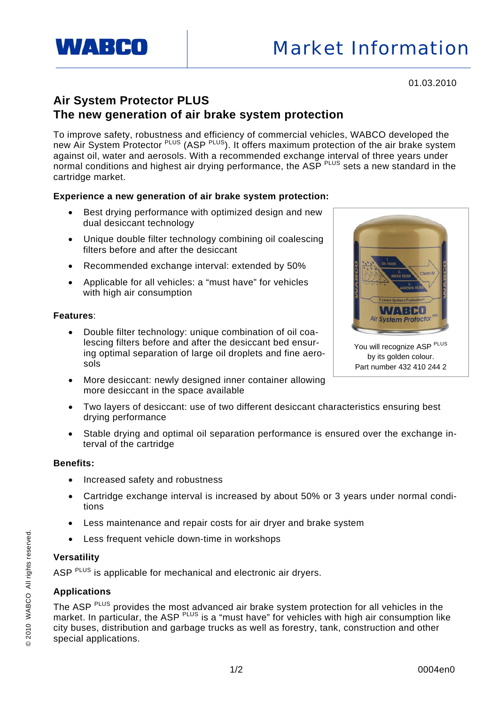

01.03.2010

# **Air System Protector PLUS The new generation of air brake system protection**

To improve safety, robustness and efficiency of commercial vehicles, WABCO developed the new Air System Protector PLUS (ASP PLUS). It offers maximum protection of the air brake system against oil, water and aerosols. With a recommended exchange interval of three years under normal conditions and highest air drying performance, the ASP PLUS sets a new standard in the cartridge market.

# **Experience a new generation of air brake system protection:**

- Best drying performance with optimized design and new dual desiccant technology
- Unique double filter technology combining oil coalescing filters before and after the desiccant
- Recommended exchange interval: extended by 50%
- Applicable for all vehicles: a "must have" for vehicles with high air consumption

### **Features**:

- Double filter technology: unique combination of oil coalescing filters before and after the desiccant bed ensuring optimal separation of large oil droplets and fine aerosols
- More desiccant: newly designed inner container allowing more desiccant in the space available
- Two layers of desiccant: use of two different desiccant characteristics ensuring best drying performance
- Stable drying and optimal oil separation performance is ensured over the exchange interval of the cartridge

#### **Benefits:**

- Increased safety and robustness
- Cartridge exchange interval is increased by about 50% or 3 years under normal conditions
- Less maintenance and repair costs for air dryer and brake system
- Less frequent vehicle down-time in workshops

#### **Versatility**

ASP <sup>PLUS</sup> is applicable for mechanical and electronic air dryers.

# **Applications**

The ASP <sup>PLUS</sup> provides the most advanced air brake system protection for all vehicles in the market. In particular, the ASP <sup>PLUS</sup> is a "must have" for vehicles with high air consumption like city buses, distribution and garbage trucks as well as forestry, tank, construction and other special applications.



You will recognize ASP PLUS by its golden colour. Part number 432 410 244 2